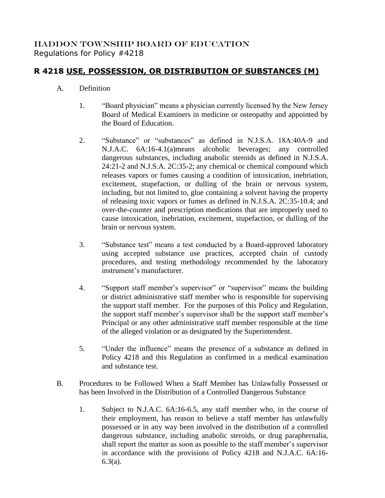## HADDON TOWNSHIP BOARD OF EDUCATION Regulations for Policy #4218

## **R 4218 USE, POSSESSION, OR DISTRIBUTION OF SUBSTANCES (M)**

- A. Definition
	- 1. "Board physician" means a physician currently licensed by the New Jersey Board of Medical Examiners in medicine or osteopathy and appointed by the Board of Education.
	- 2. "Substance" or "substances" as defined in N.J.S.A. 18A:40A-9 and N.J.A.C. 6A:16-4.1(a)means alcoholic beverages; any controlled dangerous substances, including anabolic steroids as defined in N.J.S.A. 24:21-2 and N.J.S.A. 2C:35-2; any chemical or chemical compound which releases vapors or fumes causing a condition of intoxication, inebriation, excitement, stupefaction, or dulling of the brain or nervous system, including, but not limited to, glue containing a solvent having the property of releasing toxic vapors or fumes as defined in N.J.S.A. 2C:35-10.4; and over-the-counter and prescription medications that are improperly used to cause intoxication, inebriation, excitement, stupefaction, or dulling of the brain or nervous system.
	- 3. "Substance test" means a test conducted by a Board-approved laboratory using accepted substance use practices, accepted chain of custody procedures, and testing methodology recommended by the laboratory instrument's manufacturer.
	- 4. "Support staff member's supervisor" or "supervisor" means the building or district administrative staff member who is responsible for supervising the support staff member. For the purposes of this Policy and Regulation, the support staff member's supervisor shall be the support staff member's Principal or any other administrative staff member responsible at the time of the alleged violation or as designated by the Superintendent.
	- 5. "Under the influence" means the presence of a substance as defined in Policy 4218 and this Regulation as confirmed in a medical examination and substance test.
- B. Procedures to be Followed When a Staff Member has Unlawfully Possessed or has been Involved in the Distribution of a Controlled Dangerous Substance
	- 1. Subject to N.J.A.C. 6A:16-6.5, any staff member who, in the course of their employment, has reason to believe a staff member has unlawfully possessed or in any way been involved in the distribution of a controlled dangerous substance, including anabolic steroids, or drug paraphernalia, shall report the matter as soon as possible to the staff member's supervisor in accordance with the provisions of Policy 4218 and N.J.A.C. 6A:16- 6.3(a).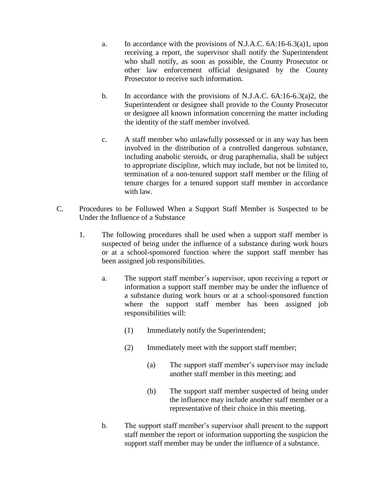- a. In accordance with the provisions of N.J.A.C. 6A:16-6.3(a)1, upon receiving a report, the supervisor shall notify the Superintendent who shall notify, as soon as possible, the County Prosecutor or other law enforcement official designated by the County Prosecutor to receive such information.
- b. In accordance with the provisions of N.J.A.C. 6A:16-6.3(a)2, the Superintendent or designee shall provide to the County Prosecutor or designee all known information concerning the matter including the identity of the staff member involved.
- c. A staff member who unlawfully possessed or in any way has been involved in the distribution of a controlled dangerous substance, including anabolic steroids, or drug paraphernalia, shall be subject to appropriate discipline, which may include, but not be limited to, termination of a non-tenured support staff member or the filing of tenure charges for a tenured support staff member in accordance with law.
- C. Procedures to be Followed When a Support Staff Member is Suspected to be Under the Influence of a Substance
	- 1. The following procedures shall be used when a support staff member is suspected of being under the influence of a substance during work hours or at a school-sponsored function where the support staff member has been assigned job responsibilities.
		- a. The support staff member's supervisor, upon receiving a report or information a support staff member may be under the influence of a substance during work hours or at a school-sponsored function where the support staff member has been assigned job responsibilities will:
			- (1) Immediately notify the Superintendent;
			- (2) Immediately meet with the support staff member;
				- (a) The support staff member's supervisor may include another staff member in this meeting; and
				- (b) The support staff member suspected of being under the influence may include another staff member or a representative of their choice in this meeting.
		- b. The support staff member's supervisor shall present to the support staff member the report or information supporting the suspicion the support staff member may be under the influence of a substance.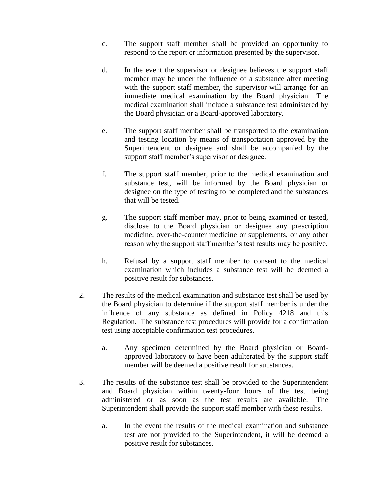- c. The support staff member shall be provided an opportunity to respond to the report or information presented by the supervisor.
- d. In the event the supervisor or designee believes the support staff member may be under the influence of a substance after meeting with the support staff member, the supervisor will arrange for an immediate medical examination by the Board physician. The medical examination shall include a substance test administered by the Board physician or a Board-approved laboratory.
- e. The support staff member shall be transported to the examination and testing location by means of transportation approved by the Superintendent or designee and shall be accompanied by the support staff member's supervisor or designee.
- f. The support staff member, prior to the medical examination and substance test, will be informed by the Board physician or designee on the type of testing to be completed and the substances that will be tested.
- g. The support staff member may, prior to being examined or tested, disclose to the Board physician or designee any prescription medicine, over-the-counter medicine or supplements, or any other reason why the support staff member's test results may be positive.
- h. Refusal by a support staff member to consent to the medical examination which includes a substance test will be deemed a positive result for substances.
- 2. The results of the medical examination and substance test shall be used by the Board physician to determine if the support staff member is under the influence of any substance as defined in Policy 4218 and this Regulation. The substance test procedures will provide for a confirmation test using acceptable confirmation test procedures.
	- a. Any specimen determined by the Board physician or Boardapproved laboratory to have been adulterated by the support staff member will be deemed a positive result for substances.
- 3. The results of the substance test shall be provided to the Superintendent and Board physician within twenty-four hours of the test being administered or as soon as the test results are available. The Superintendent shall provide the support staff member with these results.
	- a. In the event the results of the medical examination and substance test are not provided to the Superintendent, it will be deemed a positive result for substances.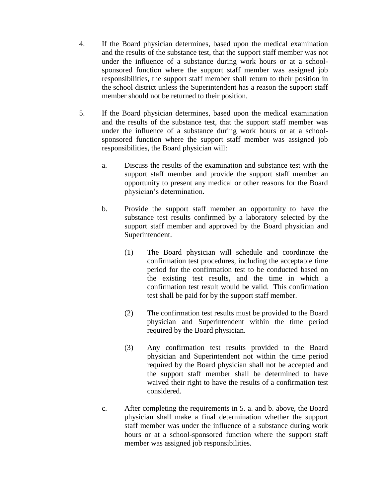- 4. If the Board physician determines, based upon the medical examination and the results of the substance test, that the support staff member was not under the influence of a substance during work hours or at a schoolsponsored function where the support staff member was assigned job responsibilities, the support staff member shall return to their position in the school district unless the Superintendent has a reason the support staff member should not be returned to their position.
- 5. If the Board physician determines, based upon the medical examination and the results of the substance test, that the support staff member was under the influence of a substance during work hours or at a schoolsponsored function where the support staff member was assigned job responsibilities, the Board physician will:
	- a. Discuss the results of the examination and substance test with the support staff member and provide the support staff member an opportunity to present any medical or other reasons for the Board physician's determination.
	- b. Provide the support staff member an opportunity to have the substance test results confirmed by a laboratory selected by the support staff member and approved by the Board physician and Superintendent.
		- (1) The Board physician will schedule and coordinate the confirmation test procedures, including the acceptable time period for the confirmation test to be conducted based on the existing test results, and the time in which a confirmation test result would be valid. This confirmation test shall be paid for by the support staff member.
		- (2) The confirmation test results must be provided to the Board physician and Superintendent within the time period required by the Board physician.
		- (3) Any confirmation test results provided to the Board physician and Superintendent not within the time period required by the Board physician shall not be accepted and the support staff member shall be determined to have waived their right to have the results of a confirmation test considered.
	- c. After completing the requirements in 5. a. and b. above, the Board physician shall make a final determination whether the support staff member was under the influence of a substance during work hours or at a school-sponsored function where the support staff member was assigned job responsibilities.